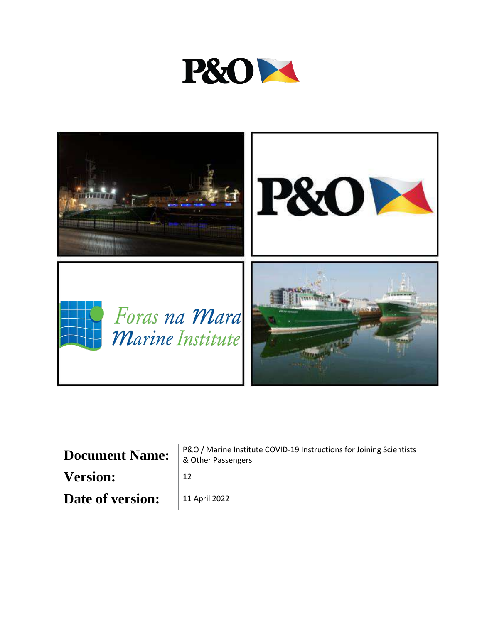



| <b>Document Name:</b> | P&O / Marine Institute COVID-19 Instructions for Joining Scientists<br>& Other Passengers |
|-----------------------|-------------------------------------------------------------------------------------------|
| <b>Version:</b>       | 12                                                                                        |
| Date of version:      | 11 April 2022                                                                             |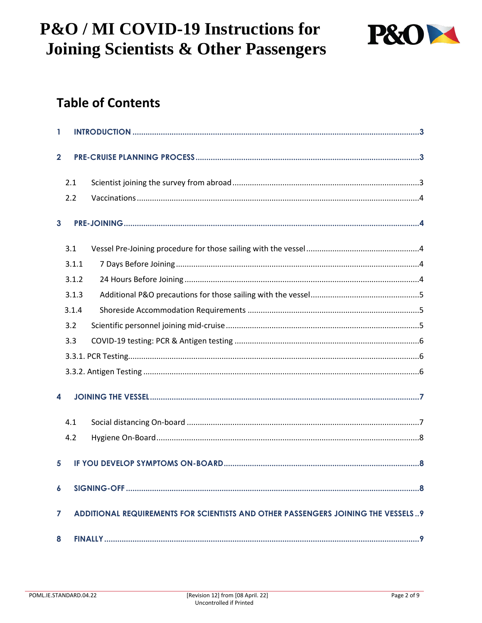

## **Table of Contents**

| 1            |                                                                                       |  |  |
|--------------|---------------------------------------------------------------------------------------|--|--|
| $\mathbf{2}$ |                                                                                       |  |  |
|              | 2.1                                                                                   |  |  |
|              | 2.2                                                                                   |  |  |
|              | $\mathbf{3}$                                                                          |  |  |
|              | 3.1                                                                                   |  |  |
|              | 3.1.1                                                                                 |  |  |
|              | 3.1.2                                                                                 |  |  |
|              | 3.1.3                                                                                 |  |  |
|              | 3.1.4                                                                                 |  |  |
|              | 3.2                                                                                   |  |  |
|              | 3.3                                                                                   |  |  |
|              |                                                                                       |  |  |
|              |                                                                                       |  |  |
| 4            |                                                                                       |  |  |
|              | 4.1                                                                                   |  |  |
|              | 4.2                                                                                   |  |  |
|              | 5                                                                                     |  |  |
|              | $\boldsymbol{6}$                                                                      |  |  |
|              | ADDITIONAL REQUIREMENTS FOR SCIENTISTS AND OTHER PASSENGERS JOINING THE VESSELS9<br>7 |  |  |
| 8            |                                                                                       |  |  |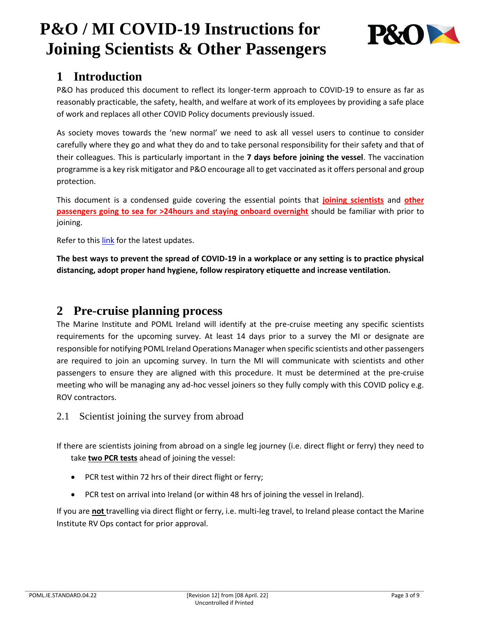

## <span id="page-2-0"></span>**1 Introduction**

P&O has produced this document to reflect its longer-term approach to COVID-19 to ensure as far as reasonably practicable, the safety, health, and welfare at work of its employees by providing a safe place of work and replaces all other COVID Policy documents previously issued.

As society moves towards the 'new normal' we need to ask all vessel users to continue to consider carefully where they go and what they do and to take personal responsibility for their safety and that of their colleagues. This is particularly important in the **7 days before joining the vessel**. The vaccination programme is a key risk mitigator and P&O encourage all to get vaccinated as it offers personal and group protection.

This document is a condensed guide covering the essential points that **joining scientists** and **other passengers going to sea for >24hours and staying onboard overnight** should be familiar with prior to joining.

Refer to this [link](https://www.gov.ie/en/press-release/7894b-post-cabinet-statement-resilience-and-recovery-the-path-ahead/) for the latest updates.

**The best ways to prevent the spread of COVID-19 in a workplace or any setting is to practice physical distancing, adopt proper hand hygiene, follow respiratory etiquette and increase ventilation.** 

### <span id="page-2-1"></span>**2 Pre-cruise planning process**

The Marine Institute and POML Ireland will identify at the pre-cruise meeting any specific scientists requirements for the upcoming survey. At least 14 days prior to a survey the MI or designate are responsible for notifying POML Ireland Operations Manager when specific scientists and other passengers are required to join an upcoming survey. In turn the MI will communicate with scientists and other passengers to ensure they are aligned with this procedure. It must be determined at the pre-cruise meeting who will be managing any ad-hoc vessel joiners so they fully comply with this COVID policy e.g. ROV contractors.

<span id="page-2-2"></span>2.1 Scientist joining the survey from abroad

If there are scientists joining from abroad on a single leg journey (i.e. direct flight or ferry) they need to take **two PCR tests** ahead of joining the vessel:

- PCR test within 72 hrs of their direct flight or ferry;
- PCR test on arrival into Ireland (or within 48 hrs of joining the vessel in Ireland).

If you are **not** travelling via direct flight or ferry, i.e. multi-leg travel, to Ireland please contact the Marine Institute RV Ops contact for prior approval.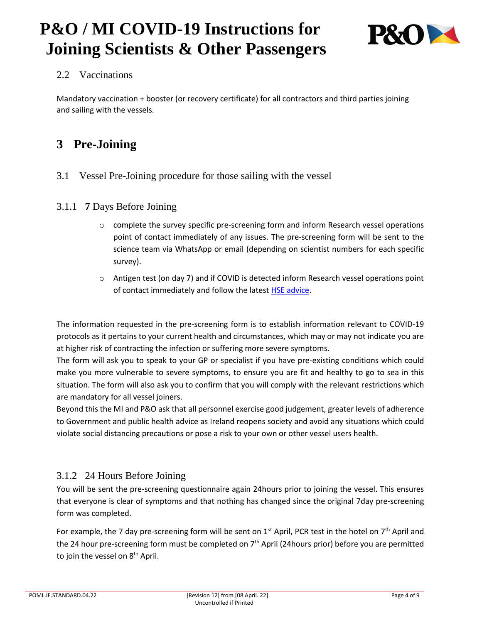

### <span id="page-3-0"></span>2.2 Vaccinations

Mandatory vaccination + booster (or recovery certificate) for all contractors and third parties joining and sailing with the vessels.

## <span id="page-3-1"></span>**3 Pre-Joining**

<span id="page-3-2"></span>3.1 Vessel Pre-Joining procedure for those sailing with the vessel

### <span id="page-3-3"></span>3.1.1 **7** Days Before Joining

- o complete the survey specific pre-screening form and inform Research vessel operations point of contact immediately of any issues. The pre-screening form will be sent to the science team via WhatsApp or email (depending on scientist numbers for each specific survey).
- o Antigen test (on day 7) and if COVID is detected inform Research vessel operations point of contact immediately and follow the lates[t HSE advice.](https://scanner.topsec.com/?r=show&u=https%3A%2F%2Fwww2.hse.ie%2Fconditions%2Fcovid19%2Ftesting%2Fget-tested%2F&t=e39174419d9025c158f8327e558a43837ebc07cb&d=1076)

The information requested in the pre-screening form is to establish information relevant to COVID-19 protocols as it pertains to your current health and circumstances, which may or may not indicate you are at higher risk of contracting the infection or suffering more severe symptoms.

The form will ask you to speak to your GP or specialist if you have pre-existing conditions which could make you more vulnerable to severe symptoms, to ensure you are fit and healthy to go to sea in this situation. The form will also ask you to confirm that you will comply with the relevant restrictions which are mandatory for all vessel joiners.

Beyond this the MI and P&O ask that all personnel exercise good judgement, greater levels of adherence to Government and public health advice as Ireland reopens society and avoid any situations which could violate social distancing precautions or pose a risk to your own or other vessel users health.

### <span id="page-3-4"></span>3.1.2 24 Hours Before Joining

You will be sent the pre-screening questionnaire again 24hours prior to joining the vessel. This ensures that everyone is clear of symptoms and that nothing has changed since the original 7day pre-screening form was completed.

For example, the 7 day pre-screening form will be sent on  $1^{st}$  April, PCR test in the hotel on  $7^{th}$  April and the 24 hour pre-screening form must be completed on  $7<sup>th</sup>$  April (24 hours prior) before you are permitted to join the vessel on 8<sup>th</sup> April.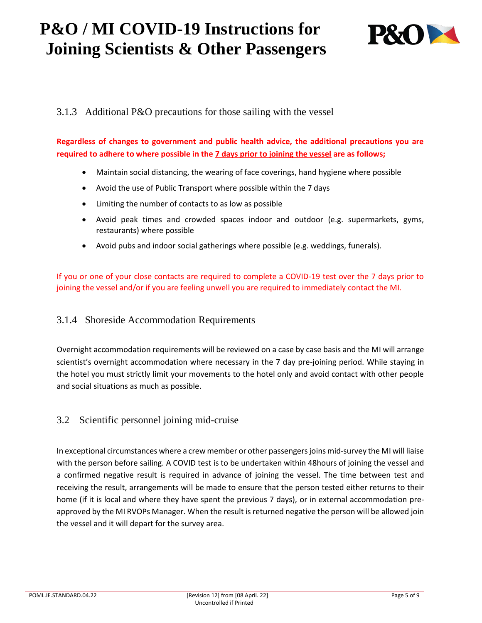

### <span id="page-4-0"></span>3.1.3 Additional P&O precautions for those sailing with the vessel

**Regardless of changes to government and public health advice, the additional precautions you are required to adhere to where possible in the 7 days prior to joining the vessel are as follows;**

- Maintain social distancing, the wearing of face coverings, hand hygiene where possible
- Avoid the use of Public Transport where possible within the 7 days
- Limiting the number of contacts to as low as possible
- Avoid peak times and crowded spaces indoor and outdoor (e.g. supermarkets, gyms, restaurants) where possible
- Avoid pubs and indoor social gatherings where possible (e.g. weddings, funerals).

If you or one of your close contacts are required to complete a COVID-19 test over the 7 days prior to joining the vessel and/or if you are feeling unwell you are required to immediately contact the MI.

#### <span id="page-4-1"></span>3.1.4 Shoreside Accommodation Requirements

Overnight accommodation requirements will be reviewed on a case by case basis and the MI will arrange scientist's overnight accommodation where necessary in the 7 day pre-joining period. While staying in the hotel you must strictly limit your movements to the hotel only and avoid contact with other people and social situations as much as possible.

### <span id="page-4-2"></span>3.2 Scientific personnel joining mid-cruise

In exceptional circumstances where a crew member or other passengers joins mid-survey the MI will liaise with the person before sailing. A COVID test is to be undertaken within 48hours of joining the vessel and a confirmed negative result is required in advance of joining the vessel. The time between test and receiving the result, arrangements will be made to ensure that the person tested either returns to their home (if it is local and where they have spent the previous 7 days), or in external accommodation preapproved by the MI RVOPs Manager. When the result is returned negative the person will be allowed join the vessel and it will depart for the survey area.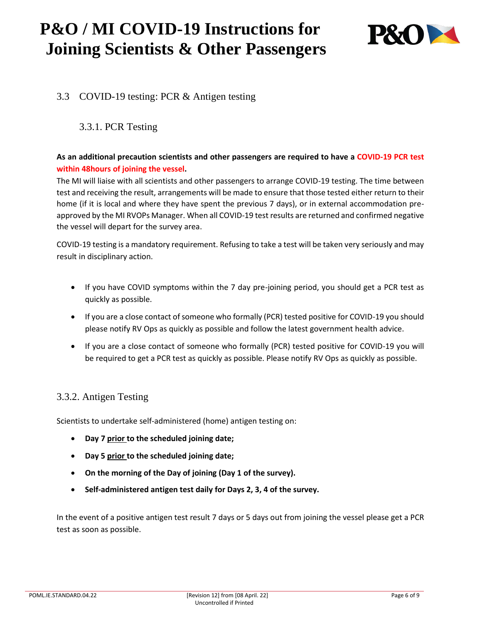

### <span id="page-5-0"></span>3.3 COVID-19 testing: PCR & Antigen testing

### <span id="page-5-1"></span>3.3.1. PCR Testing

#### **As an additional precaution scientists and other passengers are required to have a COVID-19 PCR test within 48hours of joining the vessel.**

The MI will liaise with all scientists and other passengers to arrange COVID-19 testing. The time between test and receiving the result, arrangements will be made to ensure that those tested either return to their home (if it is local and where they have spent the previous 7 days), or in external accommodation preapproved by the MI RVOPs Manager. When all COVID-19 test results are returned and confirmed negative the vessel will depart for the survey area.

COVID-19 testing is a mandatory requirement. Refusing to take a test will be taken very seriously and may result in disciplinary action.

- If you have COVID symptoms within the 7 day pre-joining period, you should get a PCR test as quickly as possible.
- If you are a close contact of someone who formally (PCR) tested positive for COVID-19 you should please notify RV Ops as quickly as possible and follow the latest government health advice.
- If you are a close contact of someone who formally (PCR) tested positive for COVID-19 you will be required to get a PCR test as quickly as possible. Please notify RV Ops as quickly as possible.

### <span id="page-5-2"></span>3.3.2. Antigen Testing

Scientists to undertake self-administered (home) antigen testing on:

- **Day 7 prior to the scheduled joining date;**
- **Day 5 prior to the scheduled joining date;**
- **On the morning of the Day of joining (Day 1 of the survey).**
- **Self-administered antigen test daily for Days 2, 3, 4 of the survey.**

In the event of a positive antigen test result 7 days or 5 days out from joining the vessel please get a PCR test as soon as possible.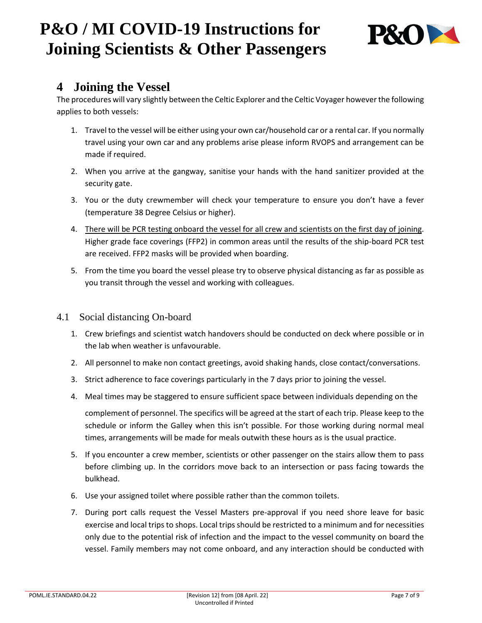

### <span id="page-6-0"></span>**4 Joining the Vessel**

The procedures will vary slightly between the Celtic Explorer and the Celtic Voyager however the following applies to both vessels:

- 1. Travel to the vessel will be either using your own car/household car or a rental car. If you normally travel using your own car and any problems arise please inform RVOPS and arrangement can be made if required.
- 2. When you arrive at the gangway, sanitise your hands with the hand sanitizer provided at the security gate.
- 3. You or the duty crewmember will check your temperature to ensure you don't have a fever (temperature 38 Degree Celsius or higher).
- 4. There will be PCR testing onboard the vessel for all crew and scientists on the first day of joining. Higher grade face coverings (FFP2) in common areas until the results of the ship-board PCR test are received. FFP2 masks will be provided when boarding.
- 5. From the time you board the vessel please try to observe physical distancing as far as possible as you transit through the vessel and working with colleagues.
- <span id="page-6-1"></span>4.1 Social distancing On-board
	- 1. Crew briefings and scientist watch handovers should be conducted on deck where possible or in the lab when weather is unfavourable.
	- 2. All personnel to make non contact greetings, avoid shaking hands, close contact/conversations.
	- 3. Strict adherence to face coverings particularly in the 7 days prior to joining the vessel.
	- 4. Meal times may be staggered to ensure sufficient space between individuals depending on the complement of personnel. The specifics will be agreed at the start of each trip. Please keep to the schedule or inform the Galley when this isn't possible. For those working during normal meal times, arrangements will be made for meals outwith these hours as is the usual practice.
	- 5. If you encounter a crew member, scientists or other passenger on the stairs allow them to pass before climbing up. In the corridors move back to an intersection or pass facing towards the bulkhead.
	- 6. Use your assigned toilet where possible rather than the common toilets.
	- 7. During port calls request the Vessel Masters pre-approval if you need shore leave for basic exercise and local trips to shops. Local trips should be restricted to a minimum and for necessities only due to the potential risk of infection and the impact to the vessel community on board the vessel. Family members may not come onboard, and any interaction should be conducted with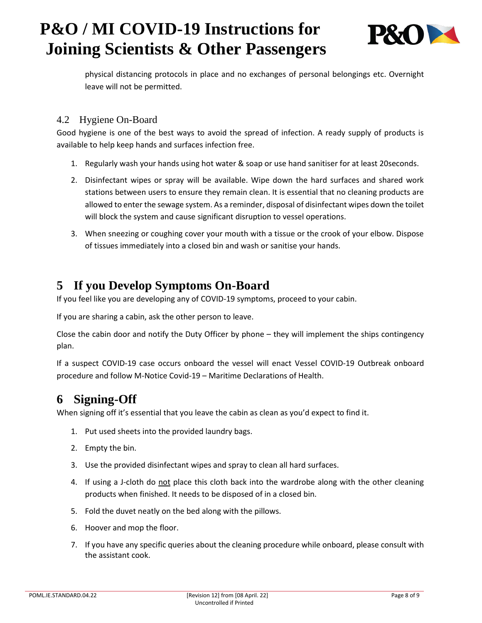

physical distancing protocols in place and no exchanges of personal belongings etc. Overnight leave will not be permitted.

### <span id="page-7-0"></span>4.2 Hygiene On-Board

Good hygiene is one of the best ways to avoid the spread of infection. A ready supply of products is available to help keep hands and surfaces infection free.

- 1. Regularly wash your hands using hot water & soap or use hand sanitiser for at least 20seconds.
- 2. Disinfectant wipes or spray will be available. Wipe down the hard surfaces and shared work stations between users to ensure they remain clean. It is essential that no cleaning products are allowed to enter the sewage system. As a reminder, disposal of disinfectant wipes down the toilet will block the system and cause significant disruption to vessel operations.
- 3. When sneezing or coughing cover your mouth with a tissue or the crook of your elbow. Dispose of tissues immediately into a closed bin and wash or sanitise your hands.

## <span id="page-7-1"></span>**5 If you Develop Symptoms On-Board**

If you feel like you are developing any of COVID-19 symptoms, proceed to your cabin.

If you are sharing a cabin, ask the other person to leave.

Close the cabin door and notify the Duty Officer by phone – they will implement the ships contingency plan.

If a suspect COVID-19 case occurs onboard the vessel will enact Vessel COVID-19 Outbreak onboard procedure and follow M-Notice Covid-19 – Maritime Declarations of Health.

## <span id="page-7-2"></span>**6 Signing-Off**

When signing off it's essential that you leave the cabin as clean as you'd expect to find it.

- 1. Put used sheets into the provided laundry bags.
- 2. Empty the bin.
- 3. Use the provided disinfectant wipes and spray to clean all hard surfaces.
- 4. If using a J-cloth do not place this cloth back into the wardrobe along with the other cleaning products when finished. It needs to be disposed of in a closed bin.
- 5. Fold the duvet neatly on the bed along with the pillows.
- 6. Hoover and mop the floor.
- 7. If you have any specific queries about the cleaning procedure while onboard, please consult with the assistant cook.